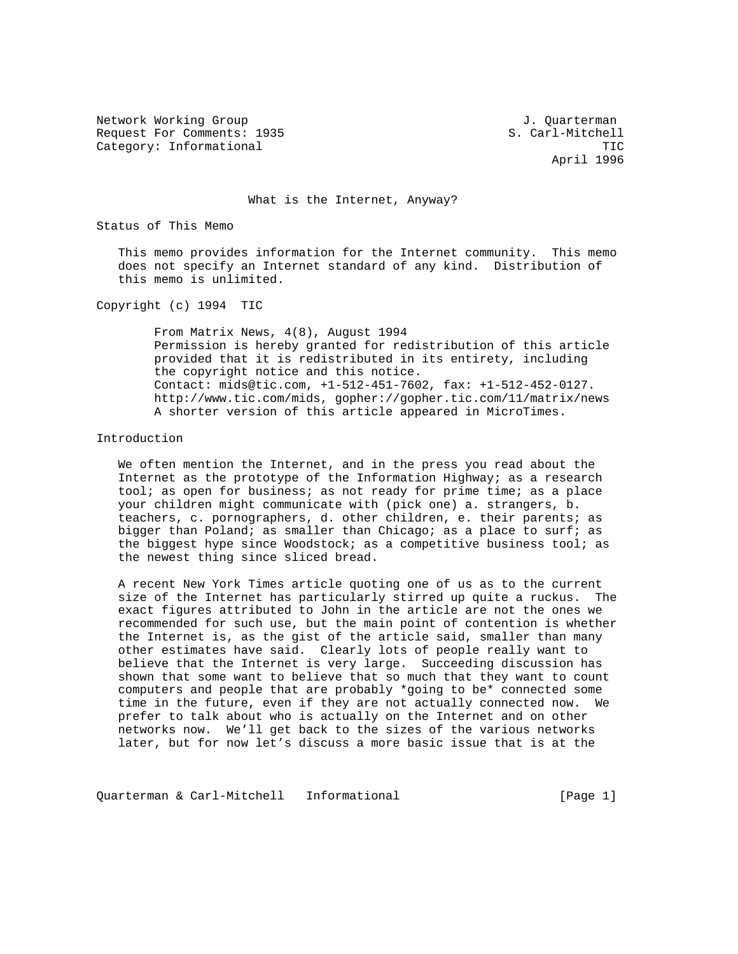Network Working Group and Alexander Controller and Alexander Controller and J. Quarterman Request For Comments: 1935 S. Carl-Mitchell Category: Informational TIC

April 1996

What is the Internet, Anyway?

Status of This Memo

 This memo provides information for the Internet community. This memo does not specify an Internet standard of any kind. Distribution of this memo is unlimited.

Copyright (c) 1994 TIC

 From Matrix News, 4(8), August 1994 Permission is hereby granted for redistribution of this article provided that it is redistributed in its entirety, including the copyright notice and this notice. Contact: mids@tic.com, +1-512-451-7602, fax: +1-512-452-0127. http://www.tic.com/mids, gopher://gopher.tic.com/11/matrix/news A shorter version of this article appeared in MicroTimes.

## Introduction

 We often mention the Internet, and in the press you read about the Internet as the prototype of the Information Highway; as a research tool; as open for business; as not ready for prime time; as a place your children might communicate with (pick one) a. strangers, b. teachers, c. pornographers, d. other children, e. their parents; as bigger than Poland; as smaller than Chicago; as a place to surf; as the biggest hype since Woodstock; as a competitive business tool; as the newest thing since sliced bread.

 A recent New York Times article quoting one of us as to the current size of the Internet has particularly stirred up quite a ruckus. The exact figures attributed to John in the article are not the ones we recommended for such use, but the main point of contention is whether the Internet is, as the gist of the article said, smaller than many other estimates have said. Clearly lots of people really want to believe that the Internet is very large. Succeeding discussion has shown that some want to believe that so much that they want to count computers and people that are probably \*going to be\* connected some time in the future, even if they are not actually connected now. We prefer to talk about who is actually on the Internet and on other networks now. We'll get back to the sizes of the various networks later, but for now let's discuss a more basic issue that is at the

Quarterman & Carl-Mitchell Informational (Page 1)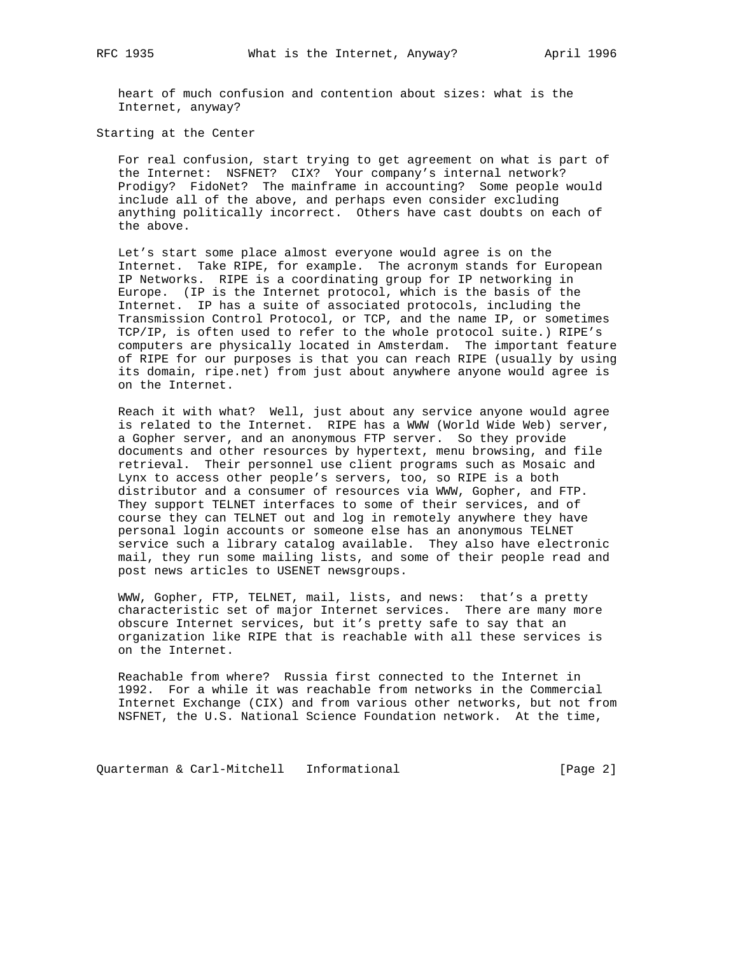heart of much confusion and contention about sizes: what is the Internet, anyway?

Starting at the Center

 For real confusion, start trying to get agreement on what is part of the Internet: NSFNET? CIX? Your company's internal network? Prodigy? FidoNet? The mainframe in accounting? Some people would include all of the above, and perhaps even consider excluding anything politically incorrect. Others have cast doubts on each of the above.

 Let's start some place almost everyone would agree is on the Internet. Take RIPE, for example. The acronym stands for European IP Networks. RIPE is a coordinating group for IP networking in Europe. (IP is the Internet protocol, which is the basis of the Internet. IP has a suite of associated protocols, including the Transmission Control Protocol, or TCP, and the name IP, or sometimes TCP/IP, is often used to refer to the whole protocol suite.) RIPE's computers are physically located in Amsterdam. The important feature of RIPE for our purposes is that you can reach RIPE (usually by using its domain, ripe.net) from just about anywhere anyone would agree is on the Internet.

 Reach it with what? Well, just about any service anyone would agree is related to the Internet. RIPE has a WWW (World Wide Web) server, a Gopher server, and an anonymous FTP server. So they provide documents and other resources by hypertext, menu browsing, and file retrieval. Their personnel use client programs such as Mosaic and Lynx to access other people's servers, too, so RIPE is a both distributor and a consumer of resources via WWW, Gopher, and FTP. They support TELNET interfaces to some of their services, and of course they can TELNET out and log in remotely anywhere they have personal login accounts or someone else has an anonymous TELNET service such a library catalog available. They also have electronic mail, they run some mailing lists, and some of their people read and post news articles to USENET newsgroups.

 WWW, Gopher, FTP, TELNET, mail, lists, and news: that's a pretty characteristic set of major Internet services. There are many more obscure Internet services, but it's pretty safe to say that an organization like RIPE that is reachable with all these services is on the Internet.

 Reachable from where? Russia first connected to the Internet in 1992. For a while it was reachable from networks in the Commercial Internet Exchange (CIX) and from various other networks, but not from NSFNET, the U.S. National Science Foundation network. At the time,

Quarterman & Carl-Mitchell Informational [Page 2]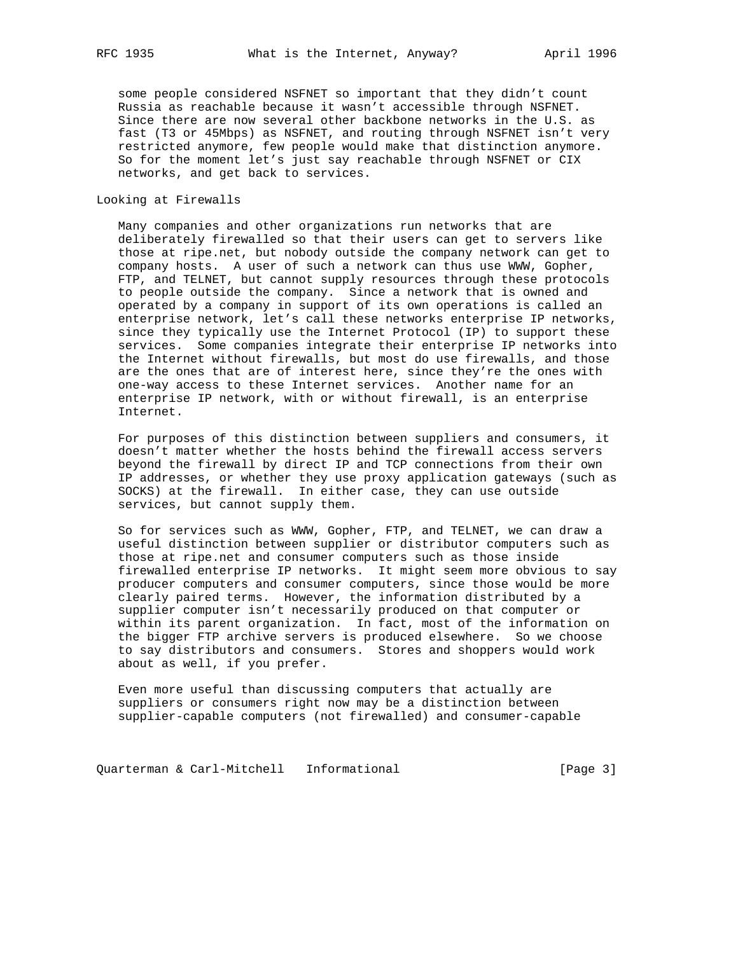some people considered NSFNET so important that they didn't count Russia as reachable because it wasn't accessible through NSFNET. Since there are now several other backbone networks in the U.S. as fast (T3 or 45Mbps) as NSFNET, and routing through NSFNET isn't very restricted anymore, few people would make that distinction anymore. So for the moment let's just say reachable through NSFNET or CIX networks, and get back to services.

## Looking at Firewalls

 Many companies and other organizations run networks that are deliberately firewalled so that their users can get to servers like those at ripe.net, but nobody outside the company network can get to company hosts. A user of such a network can thus use WWW, Gopher, FTP, and TELNET, but cannot supply resources through these protocols to people outside the company. Since a network that is owned and operated by a company in support of its own operations is called an enterprise network, let's call these networks enterprise IP networks, since they typically use the Internet Protocol (IP) to support these services. Some companies integrate their enterprise IP networks into the Internet without firewalls, but most do use firewalls, and those are the ones that are of interest here, since they're the ones with one-way access to these Internet services. Another name for an enterprise IP network, with or without firewall, is an enterprise Internet.

 For purposes of this distinction between suppliers and consumers, it doesn't matter whether the hosts behind the firewall access servers beyond the firewall by direct IP and TCP connections from their own IP addresses, or whether they use proxy application gateways (such as SOCKS) at the firewall. In either case, they can use outside services, but cannot supply them.

 So for services such as WWW, Gopher, FTP, and TELNET, we can draw a useful distinction between supplier or distributor computers such as those at ripe.net and consumer computers such as those inside firewalled enterprise IP networks. It might seem more obvious to say producer computers and consumer computers, since those would be more clearly paired terms. However, the information distributed by a supplier computer isn't necessarily produced on that computer or within its parent organization. In fact, most of the information on the bigger FTP archive servers is produced elsewhere. So we choose to say distributors and consumers. Stores and shoppers would work about as well, if you prefer.

 Even more useful than discussing computers that actually are suppliers or consumers right now may be a distinction between supplier-capable computers (not firewalled) and consumer-capable

Quarterman & Carl-Mitchell Informational (Page 3)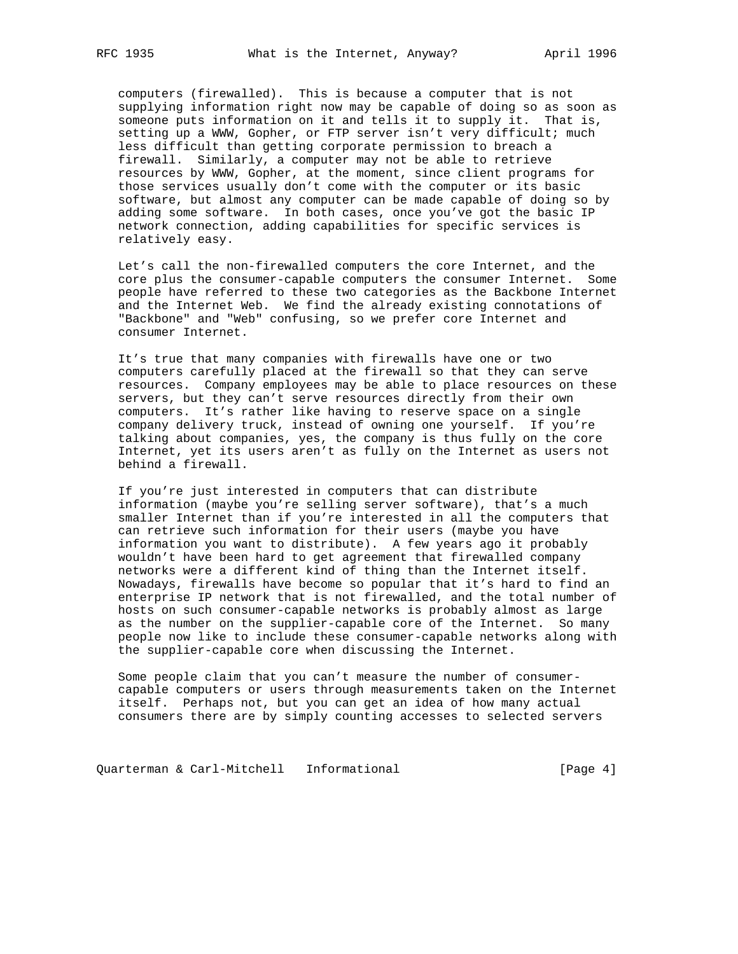computers (firewalled). This is because a computer that is not supplying information right now may be capable of doing so as soon as someone puts information on it and tells it to supply it. That is, setting up a WWW, Gopher, or FTP server isn't very difficult; much less difficult than getting corporate permission to breach a firewall. Similarly, a computer may not be able to retrieve resources by WWW, Gopher, at the moment, since client programs for those services usually don't come with the computer or its basic software, but almost any computer can be made capable of doing so by adding some software. In both cases, once you've got the basic IP network connection, adding capabilities for specific services is relatively easy.

 Let's call the non-firewalled computers the core Internet, and the core plus the consumer-capable computers the consumer Internet. Some people have referred to these two categories as the Backbone Internet and the Internet Web. We find the already existing connotations of "Backbone" and "Web" confusing, so we prefer core Internet and consumer Internet.

 It's true that many companies with firewalls have one or two computers carefully placed at the firewall so that they can serve resources. Company employees may be able to place resources on these servers, but they can't serve resources directly from their own computers. It's rather like having to reserve space on a single company delivery truck, instead of owning one yourself. If you're talking about companies, yes, the company is thus fully on the core Internet, yet its users aren't as fully on the Internet as users not behind a firewall.

 If you're just interested in computers that can distribute information (maybe you're selling server software), that's a much smaller Internet than if you're interested in all the computers that can retrieve such information for their users (maybe you have information you want to distribute). A few years ago it probably wouldn't have been hard to get agreement that firewalled company networks were a different kind of thing than the Internet itself. Nowadays, firewalls have become so popular that it's hard to find an enterprise IP network that is not firewalled, and the total number of hosts on such consumer-capable networks is probably almost as large as the number on the supplier-capable core of the Internet. So many people now like to include these consumer-capable networks along with the supplier-capable core when discussing the Internet.

 Some people claim that you can't measure the number of consumer capable computers or users through measurements taken on the Internet itself. Perhaps not, but you can get an idea of how many actual consumers there are by simply counting accesses to selected servers

Quarterman & Carl-Mitchell Informational [Page 4]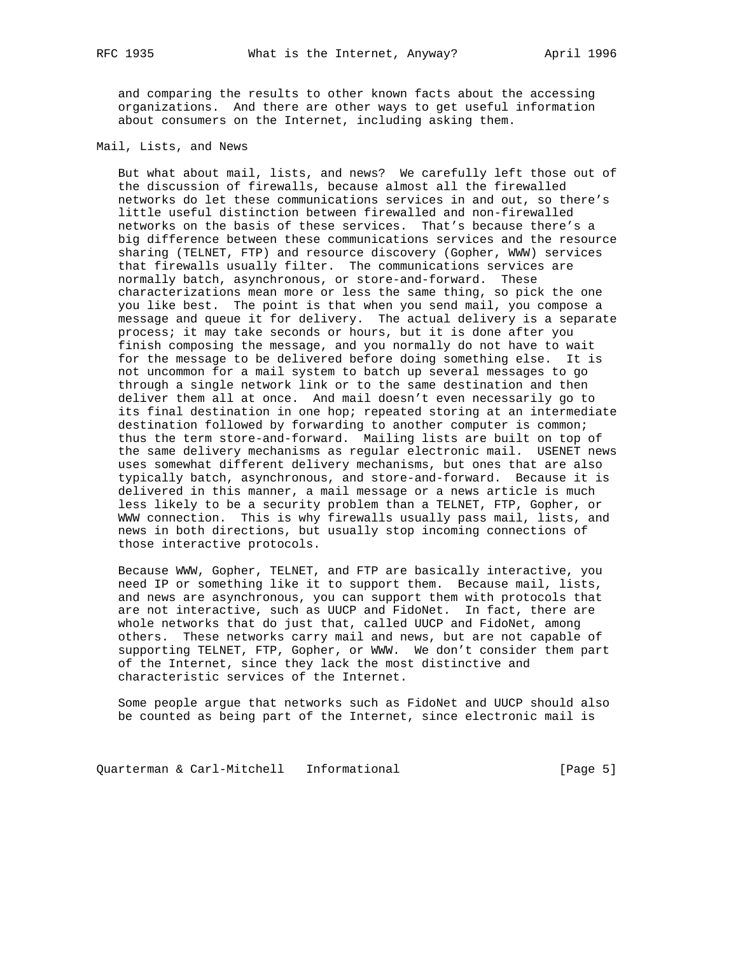and comparing the results to other known facts about the accessing organizations. And there are other ways to get useful information about consumers on the Internet, including asking them.

Mail, Lists, and News

 But what about mail, lists, and news? We carefully left those out of the discussion of firewalls, because almost all the firewalled networks do let these communications services in and out, so there's little useful distinction between firewalled and non-firewalled networks on the basis of these services. That's because there's a big difference between these communications services and the resource sharing (TELNET, FTP) and resource discovery (Gopher, WWW) services that firewalls usually filter. The communications services are normally batch, asynchronous, or store-and-forward. These characterizations mean more or less the same thing, so pick the one you like best. The point is that when you send mail, you compose a message and queue it for delivery. The actual delivery is a separate process; it may take seconds or hours, but it is done after you finish composing the message, and you normally do not have to wait for the message to be delivered before doing something else. It is not uncommon for a mail system to batch up several messages to go through a single network link or to the same destination and then deliver them all at once. And mail doesn't even necessarily go to its final destination in one hop; repeated storing at an intermediate destination followed by forwarding to another computer is common; thus the term store-and-forward. Mailing lists are built on top of the same delivery mechanisms as regular electronic mail. USENET news uses somewhat different delivery mechanisms, but ones that are also typically batch, asynchronous, and store-and-forward. Because it is delivered in this manner, a mail message or a news article is much less likely to be a security problem than a TELNET, FTP, Gopher, or WWW connection. This is why firewalls usually pass mail, lists, and news in both directions, but usually stop incoming connections of those interactive protocols.

 Because WWW, Gopher, TELNET, and FTP are basically interactive, you need IP or something like it to support them. Because mail, lists, and news are asynchronous, you can support them with protocols that are not interactive, such as UUCP and FidoNet. In fact, there are whole networks that do just that, called UUCP and FidoNet, among others. These networks carry mail and news, but are not capable of supporting TELNET, FTP, Gopher, or WWW. We don't consider them part of the Internet, since they lack the most distinctive and characteristic services of the Internet.

 Some people argue that networks such as FidoNet and UUCP should also be counted as being part of the Internet, since electronic mail is

Quarterman & Carl-Mitchell Informational (Page 5)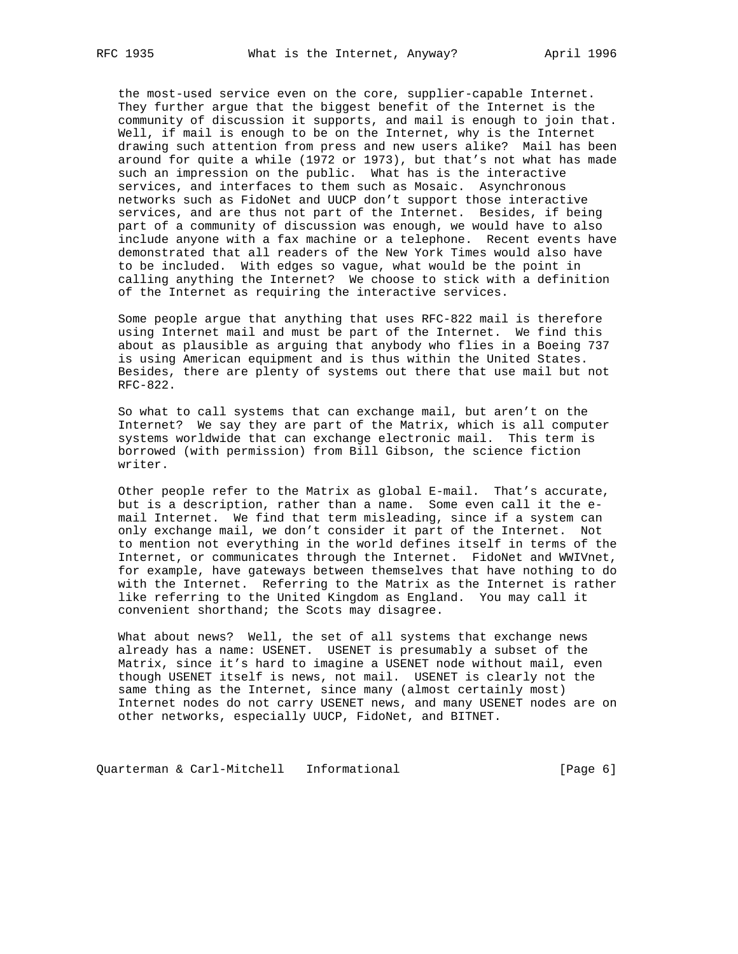the most-used service even on the core, supplier-capable Internet. They further argue that the biggest benefit of the Internet is the community of discussion it supports, and mail is enough to join that. Well, if mail is enough to be on the Internet, why is the Internet drawing such attention from press and new users alike? Mail has been around for quite a while (1972 or 1973), but that's not what has made such an impression on the public. What has is the interactive services, and interfaces to them such as Mosaic. Asynchronous networks such as FidoNet and UUCP don't support those interactive services, and are thus not part of the Internet. Besides, if being part of a community of discussion was enough, we would have to also include anyone with a fax machine or a telephone. Recent events have demonstrated that all readers of the New York Times would also have to be included. With edges so vague, what would be the point in calling anything the Internet? We choose to stick with a definition of the Internet as requiring the interactive services.

 Some people argue that anything that uses RFC-822 mail is therefore using Internet mail and must be part of the Internet. We find this about as plausible as arguing that anybody who flies in a Boeing 737 is using American equipment and is thus within the United States. Besides, there are plenty of systems out there that use mail but not RFC-822.

 So what to call systems that can exchange mail, but aren't on the Internet? We say they are part of the Matrix, which is all computer systems worldwide that can exchange electronic mail. This term is borrowed (with permission) from Bill Gibson, the science fiction writer.

 Other people refer to the Matrix as global E-mail. That's accurate, but is a description, rather than a name. Some even call it the e mail Internet. We find that term misleading, since if a system can only exchange mail, we don't consider it part of the Internet. Not to mention not everything in the world defines itself in terms of the Internet, or communicates through the Internet. FidoNet and WWIVnet, for example, have gateways between themselves that have nothing to do with the Internet. Referring to the Matrix as the Internet is rather like referring to the United Kingdom as England. You may call it convenient shorthand; the Scots may disagree.

 What about news? Well, the set of all systems that exchange news already has a name: USENET. USENET is presumably a subset of the Matrix, since it's hard to imagine a USENET node without mail, even though USENET itself is news, not mail. USENET is clearly not the same thing as the Internet, since many (almost certainly most) Internet nodes do not carry USENET news, and many USENET nodes are on other networks, especially UUCP, FidoNet, and BITNET.

Quarterman & Carl-Mitchell Informational (Page 6)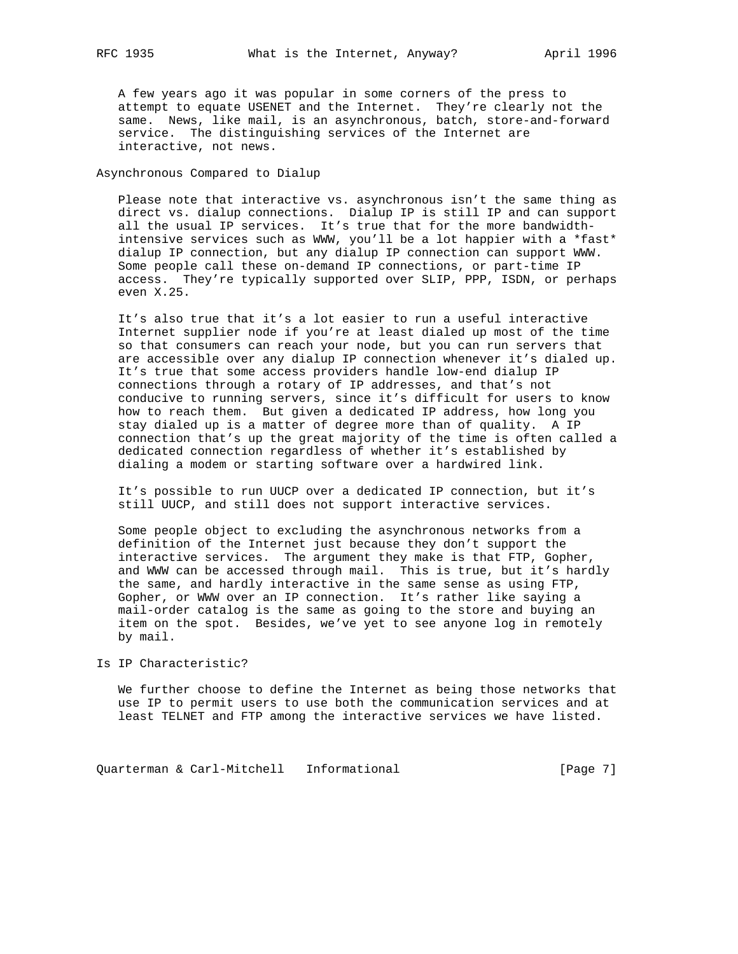A few years ago it was popular in some corners of the press to attempt to equate USENET and the Internet. They're clearly not the same. News, like mail, is an asynchronous, batch, store-and-forward service. The distinguishing services of the Internet are interactive, not news.

Asynchronous Compared to Dialup

 Please note that interactive vs. asynchronous isn't the same thing as direct vs. dialup connections. Dialup IP is still IP and can support all the usual IP services. It's true that for the more bandwidth intensive services such as WWW, you'll be a lot happier with a \*fast\* dialup IP connection, but any dialup IP connection can support WWW. Some people call these on-demand IP connections, or part-time IP access. They're typically supported over SLIP, PPP, ISDN, or perhaps even X.25.

 It's also true that it's a lot easier to run a useful interactive Internet supplier node if you're at least dialed up most of the time so that consumers can reach your node, but you can run servers that are accessible over any dialup IP connection whenever it's dialed up. It's true that some access providers handle low-end dialup IP connections through a rotary of IP addresses, and that's not conducive to running servers, since it's difficult for users to know how to reach them. But given a dedicated IP address, how long you stay dialed up is a matter of degree more than of quality. A IP connection that's up the great majority of the time is often called a dedicated connection regardless of whether it's established by dialing a modem or starting software over a hardwired link.

 It's possible to run UUCP over a dedicated IP connection, but it's still UUCP, and still does not support interactive services.

 Some people object to excluding the asynchronous networks from a definition of the Internet just because they don't support the interactive services. The argument they make is that FTP, Gopher, and WWW can be accessed through mail. This is true, but it's hardly the same, and hardly interactive in the same sense as using FTP, Gopher, or WWW over an IP connection. It's rather like saying a mail-order catalog is the same as going to the store and buying an item on the spot. Besides, we've yet to see anyone log in remotely by mail.

Is IP Characteristic?

 We further choose to define the Internet as being those networks that use IP to permit users to use both the communication services and at least TELNET and FTP among the interactive services we have listed.

Quarterman & Carl-Mitchell Informational (Page 7)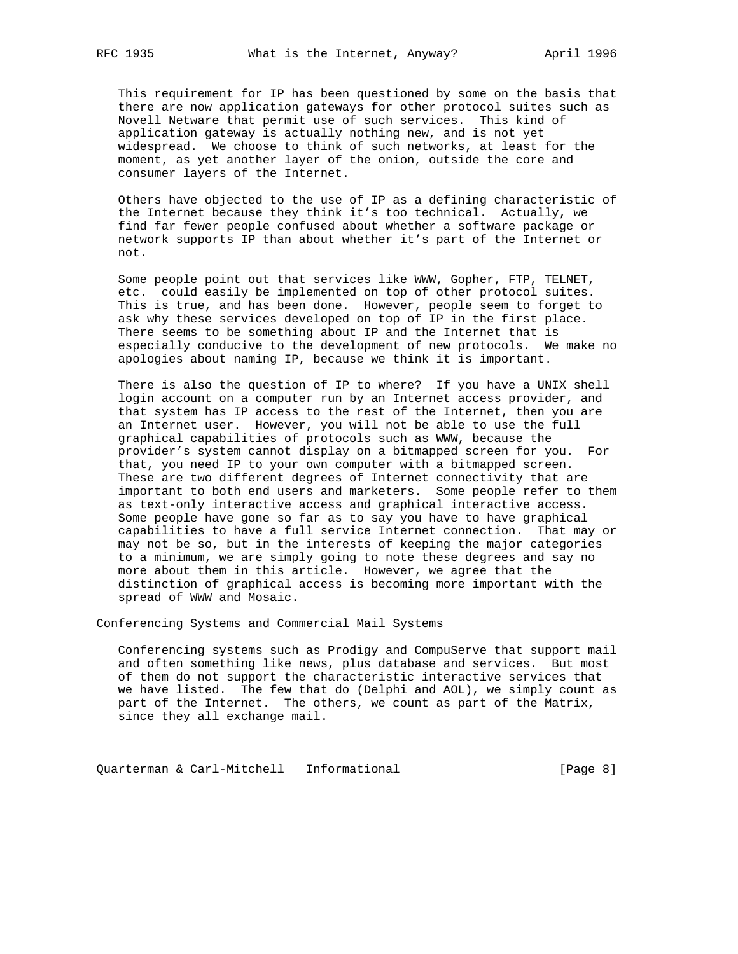This requirement for IP has been questioned by some on the basis that there are now application gateways for other protocol suites such as Novell Netware that permit use of such services. This kind of application gateway is actually nothing new, and is not yet widespread. We choose to think of such networks, at least for the moment, as yet another layer of the onion, outside the core and consumer layers of the Internet.

 Others have objected to the use of IP as a defining characteristic of the Internet because they think it's too technical. Actually, we find far fewer people confused about whether a software package or network supports IP than about whether it's part of the Internet or not.

 Some people point out that services like WWW, Gopher, FTP, TELNET, etc. could easily be implemented on top of other protocol suites. This is true, and has been done. However, people seem to forget to ask why these services developed on top of IP in the first place. There seems to be something about IP and the Internet that is especially conducive to the development of new protocols. We make no apologies about naming IP, because we think it is important.

 There is also the question of IP to where? If you have a UNIX shell login account on a computer run by an Internet access provider, and that system has IP access to the rest of the Internet, then you are an Internet user. However, you will not be able to use the full graphical capabilities of protocols such as WWW, because the provider's system cannot display on a bitmapped screen for you. For that, you need IP to your own computer with a bitmapped screen. These are two different degrees of Internet connectivity that are important to both end users and marketers. Some people refer to them as text-only interactive access and graphical interactive access. Some people have gone so far as to say you have to have graphical capabilities to have a full service Internet connection. That may or may not be so, but in the interests of keeping the major categories to a minimum, we are simply going to note these degrees and say no more about them in this article. However, we agree that the distinction of graphical access is becoming more important with the spread of WWW and Mosaic.

Conferencing Systems and Commercial Mail Systems

 Conferencing systems such as Prodigy and CompuServe that support mail and often something like news, plus database and services. But most of them do not support the characteristic interactive services that we have listed. The few that do (Delphi and AOL), we simply count as part of the Internet. The others, we count as part of the Matrix, since they all exchange mail.

Quarterman & Carl-Mitchell Informational (Page 8)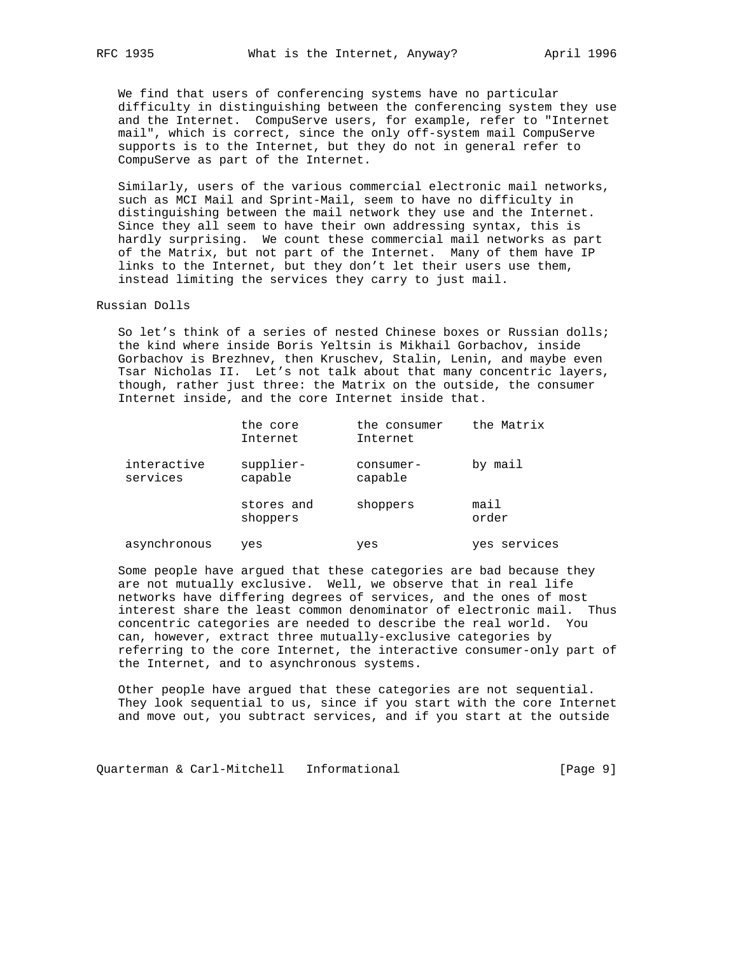We find that users of conferencing systems have no particular difficulty in distinguishing between the conferencing system they use and the Internet. CompuServe users, for example, refer to "Internet mail", which is correct, since the only off-system mail CompuServe supports is to the Internet, but they do not in general refer to CompuServe as part of the Internet.

 Similarly, users of the various commercial electronic mail networks, such as MCI Mail and Sprint-Mail, seem to have no difficulty in distinguishing between the mail network they use and the Internet. Since they all seem to have their own addressing syntax, this is hardly surprising. We count these commercial mail networks as part of the Matrix, but not part of the Internet. Many of them have IP links to the Internet, but they don't let their users use them, instead limiting the services they carry to just mail.

Russian Dolls

 So let's think of a series of nested Chinese boxes or Russian dolls; the kind where inside Boris Yeltsin is Mikhail Gorbachov, inside Gorbachov is Brezhnev, then Kruschev, Stalin, Lenin, and maybe even Tsar Nicholas II. Let's not talk about that many concentric layers, though, rather just three: the Matrix on the outside, the consumer Internet inside, and the core Internet inside that.

|                         | the core<br>Internet   | the consumer<br>Internet | the Matrix    |
|-------------------------|------------------------|--------------------------|---------------|
| interactive<br>services | supplier-<br>capable   | $consumer-$<br>capable   | by mail       |
|                         | stores and<br>shoppers | shoppers                 | mail<br>order |
| asynchronous            | yes                    | yes                      | yes services  |

Some people have argued that these categories are bad because they

 are not mutually exclusive. Well, we observe that in real life networks have differing degrees of services, and the ones of most interest share the least common denominator of electronic mail. Thus concentric categories are needed to describe the real world. You can, however, extract three mutually-exclusive categories by referring to the core Internet, the interactive consumer-only part of the Internet, and to asynchronous systems.

 Other people have argued that these categories are not sequential. They look sequential to us, since if you start with the core Internet and move out, you subtract services, and if you start at the outside

Quarterman & Carl-Mitchell Informational [Page 9]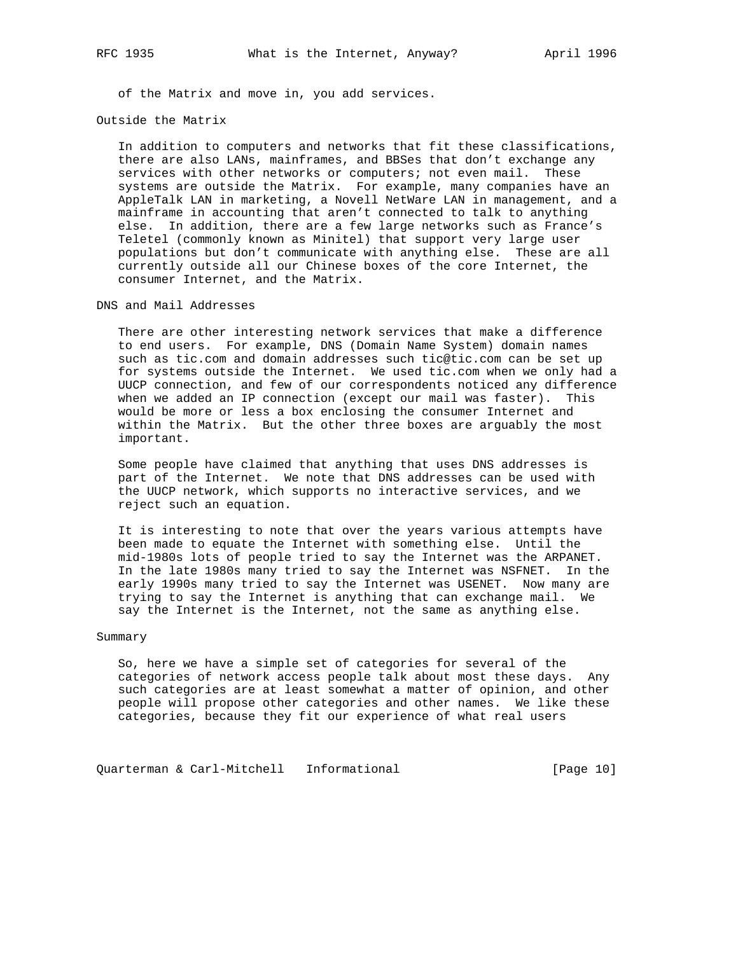of the Matrix and move in, you add services.

Outside the Matrix

 In addition to computers and networks that fit these classifications, there are also LANs, mainframes, and BBSes that don't exchange any services with other networks or computers; not even mail. These systems are outside the Matrix. For example, many companies have an AppleTalk LAN in marketing, a Novell NetWare LAN in management, and a mainframe in accounting that aren't connected to talk to anything else. In addition, there are a few large networks such as France's Teletel (commonly known as Minitel) that support very large user populations but don't communicate with anything else. These are all currently outside all our Chinese boxes of the core Internet, the consumer Internet, and the Matrix.

DNS and Mail Addresses

 There are other interesting network services that make a difference to end users. For example, DNS (Domain Name System) domain names such as tic.com and domain addresses such tic@tic.com can be set up for systems outside the Internet. We used tic.com when we only had a UUCP connection, and few of our correspondents noticed any difference when we added an IP connection (except our mail was faster). This would be more or less a box enclosing the consumer Internet and within the Matrix. But the other three boxes are arguably the most important.

 Some people have claimed that anything that uses DNS addresses is part of the Internet. We note that DNS addresses can be used with the UUCP network, which supports no interactive services, and we reject such an equation.

 It is interesting to note that over the years various attempts have been made to equate the Internet with something else. Until the mid-1980s lots of people tried to say the Internet was the ARPANET. In the late 1980s many tried to say the Internet was NSFNET. In the early 1990s many tried to say the Internet was USENET. Now many are trying to say the Internet is anything that can exchange mail. We say the Internet is the Internet, not the same as anything else.

## Summary

 So, here we have a simple set of categories for several of the categories of network access people talk about most these days. Any such categories are at least somewhat a matter of opinion, and other people will propose other categories and other names. We like these categories, because they fit our experience of what real users

Quarterman & Carl-Mitchell Informational (Page 10)